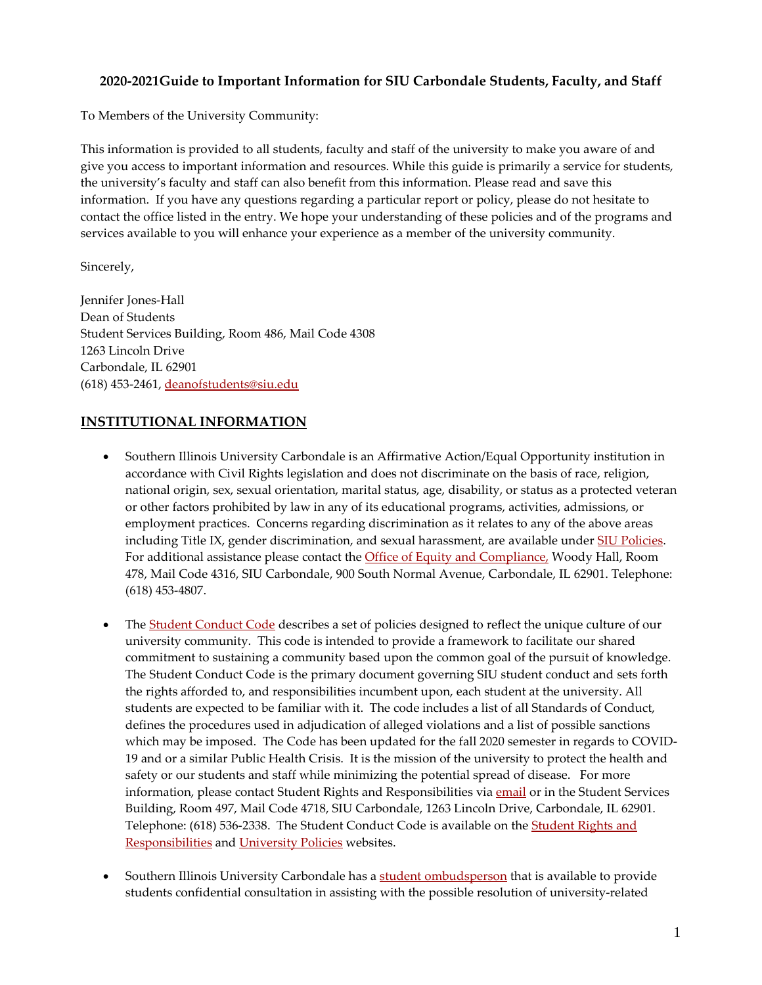### **2020-2021Guide to Important Information for SIU Carbondale Students, Faculty, and Staff**

To Members of the University Community:

This information is provided to all students, faculty and staff of the university to make you aware of and give you access to important information and resources. While this guide is primarily a service for students, the university's faculty and staff can also benefit from this information. Please read and save this information. If you have any questions regarding a particular report or policy, please do not hesitate to contact the office listed in the entry. We hope your understanding of these policies and of the programs and services available to you will enhance your experience as a member of the university community.

Sincerely,

Jennifer Jones-Hall Dean of Students Student Services Building, Room 486, Mail Code 4308 1263 Lincoln Drive Carbondale, IL 62901 (618) 453-2461, [deanofstudents@siu.edu](mailto:deanofstudents@siu.edu)

### **INSTITUTIONAL INFORMATION**

- Southern Illinois University Carbondale is an Affirmative Action/Equal Opportunity institution in accordance with Civil Rights legislation and does not discriminate on the basis of race, religion, national origin, sex, sexual orientation, marital status, age, disability, or status as a protected veteran or other factors prohibited by law in any of its educational programs, activities, admissions, or employment practices. Concerns regarding discrimination as it relates to any of the above areas including Title IX, gender discrimination, and sexual harassment, are available under [SIU Policies.](http://policies.siu.edu/policies/sexual-assault-dating-violence-domestic-violence-stalking.php) For additional assistance please contact the *Office of Equity and Compliance*, Woody Hall, Room 478, Mail Code 4316, SIU Carbondale, 900 South Normal Avenue, Carbondale, IL 62901. Telephone: (618) 453-4807.
- The [Student Conduct Code](http://srr.siu.edu/student-conduct-code/) describes a set of policies designed to reflect the unique culture of our university community. This code is intended to provide a framework to facilitate our shared commitment to sustaining a community based upon the common goal of the pursuit of knowledge. The Student Conduct Code is the primary document governing SIU student conduct and sets forth the rights afforded to, and responsibilities incumbent upon, each student at the university. All students are expected to be familiar with it. The code includes a list of all Standards of Conduct, defines the procedures used in adjudication of alleged violations and a list of possible sanctions which may be imposed. The Code has been updated for the fall 2020 semester in regards to COVID-19 and or a similar Public Health Crisis. It is the mission of the university to protect the health and safety or our students and staff while minimizing the potential spread of disease. For more information, please contact Student Rights and Responsibilities vi[a email](mailto:studentrights@siu.edu) or in the Student Services Building, Room 497, Mail Code 4718, SIU Carbondale, 1263 Lincoln Drive, Carbondale, IL 62901. Telephone: (618) 536-2338. The Student Conduct Code is available on the Student Rights and [Responsibilities](http://srr.siu.edu/) and [University Policies](https://policies.siu.edu/other-policies/chapter3/) websites.
- Southern Illinois University Carbondale has a [student ombudsperson](https://salukicares.siu.edu/helpful-resources/student-ombudsman.php) that is available to provide students confidential consultation in assisting with the possible resolution of university-related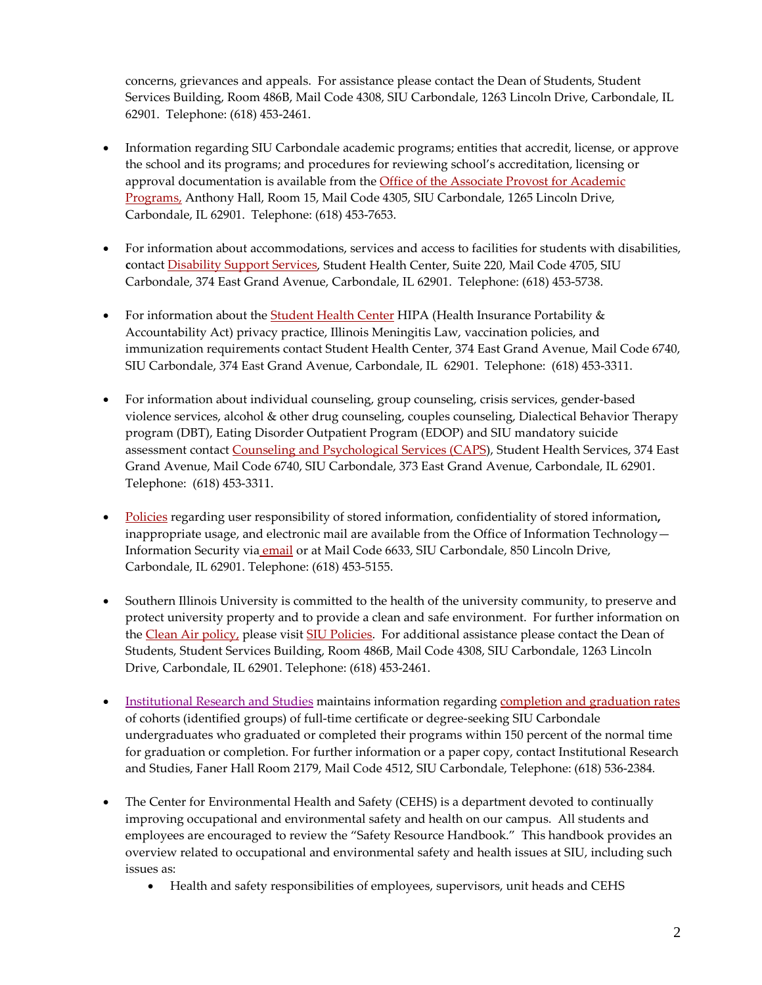concerns, grievances and appeals. For assistance please contact the Dean of Students, Student Services Building, Room 486B, Mail Code 4308, SIU Carbondale, 1263 Lincoln Drive, Carbondale, IL 62901. Telephone: (618) 453-2461.

- Information regarding SIU Carbondale academic programs; entities that accredit, license, or approve the school and its programs; and procedures for reviewing school's accreditation, licensing or approval documentation is available from the Office of the Associate Provost for Academic [Programs,](http://pvcaa.siu.edu/associate-academic-programs/index.php) Anthony Hall, Room 15, Mail Code 4305, SIU Carbondale, 1265 Lincoln Drive, Carbondale, IL 62901. Telephone: (618) 453-7653.
- For information about accommodations, services and access to facilities for students with disabilities, **c**ontact [Disability Support Services,](http://disabilityservices.siu.edu/) Student Health Center, Suite 220, Mail Code 4705, SIU Carbondale, 374 East Grand Avenue, Carbondale, IL 62901. Telephone: (618) 453-5738.
- For information about the **Student Health Center HIPA** (Health Insurance Portability & Accountability Act) privacy practice, Illinois Meningitis Law, vaccination policies, and immunization requirements contact Student Health Center, 374 East Grand Avenue, Mail Code 6740, SIU Carbondale, 374 East Grand Avenue, Carbondale, IL 62901. Telephone: (618) 453-3311.
- For information about individual counseling, group counseling, crisis services, gender-based violence services, alcohol & other drug counseling, couples counseling, Dialectical Behavior Therapy program (DBT), Eating Disorder Outpatient Program (EDOP) and SIU mandatory suicide assessment contact [Counseling and Psychological Services \(CAPS\)](https://shc.siu.edu/counseling/), Student Health Services, 374 East Grand Avenue, Mail Code 6740, SIU Carbondale, 373 East Grand Avenue, Carbondale, IL 62901. Telephone: (618) 453-3311.
- [Policies](http://policies.siu.edu/personnel-policies/chapter4/ch4-all/elecpriv.php) regarding user responsibility of stored information, confidentiality of stored information**,**  inappropriate usage, and electronic mail are available from the Office of Information Technology— Information Security via [email](mailto:salukitech@siu.edu) or at Mail Code 6633, SIU Carbondale, 850 Lincoln Drive, Carbondale, IL 62901. Telephone: (618) 453-5155.
- Southern Illinois University is committed to the health of the university community, to preserve and protect university property and to provide a clean and safe environment. For further information on the [Clean Air policy,](https://policies.siu.edu/other-policies/chapter6/cleanair.php) please visit [SIU Policies.](https://policies.siu.edu/) For additional assistance please contact the Dean of Students, Student Services Building, Room 486B, Mail Code 4308, SIU Carbondale, 1263 Lincoln Drive, Carbondale, IL 62901. Telephone: (618) 453-2461.
- Institutional [Research and Studies](https://irs.siu.edu/) maintains information regarding [completion and graduation rates](https://registrar.siu.edu/office/consumer.php) of cohorts (identified groups) of full-time certificate or degree-seeking SIU Carbondale undergraduates who graduated or completed their programs within 150 percent of the normal time for graduation or completion. For further information or a paper copy, contact Institutional Research and Studies, Faner Hall Room 2179, Mail Code 4512, SIU Carbondale, Telephone: (618) 536-2384*.*
- The Center for Environmental Health and Safety (CEHS) is a department devoted to continually improving occupational and environmental safety and health on our campus. All students and employees are encouraged to review the "Safety Resource Handbook." This handbook provides an overview related to occupational and environmental safety and health issues at SIU, including such issues as:
	- Health and safety responsibilities of employees, supervisors, unit heads and CEHS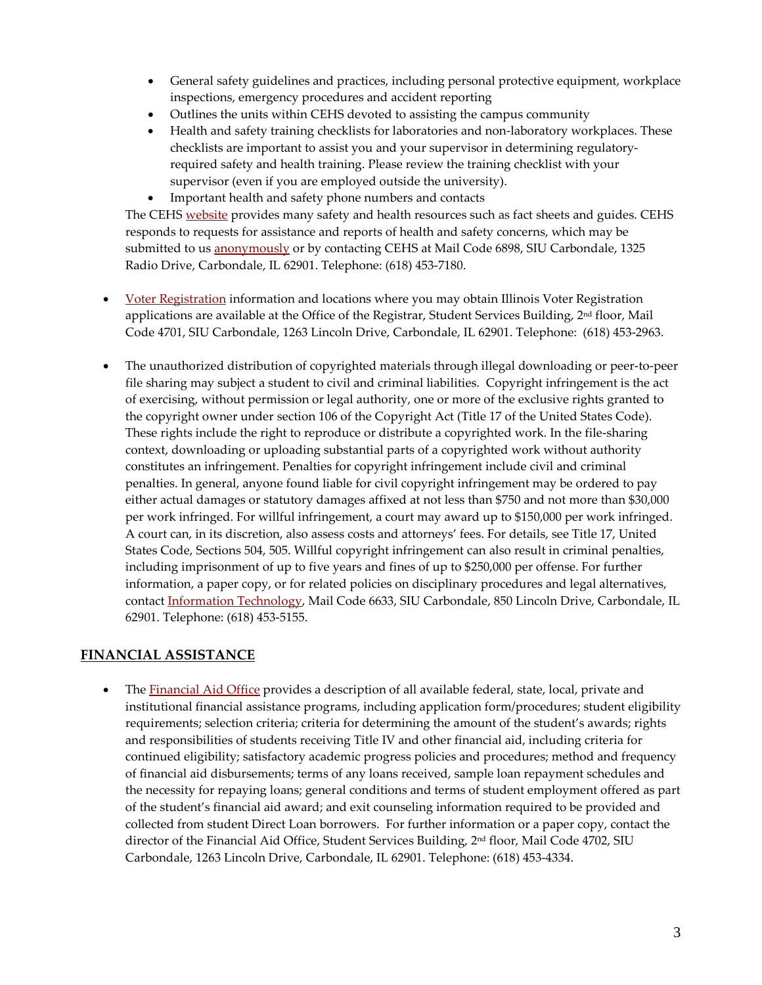- General safety guidelines and practices, including personal protective equipment, workplace inspections, emergency procedures and accident reporting
- Outlines the units within CEHS devoted to assisting the campus community
- Health and safety training checklists for laboratories and non-laboratory workplaces. These checklists are important to assist you and your supervisor in determining regulatoryrequired safety and health training. Please review the training checklist with your supervisor (even if you are employed outside the university).
- Important health and safety phone numbers and contacts

The CEHS [website](http://cehs.siu.edu/) provides many safety and health resources such as fact sheets and guides. CEHS responds to requests for assistance and reports of health and safety concerns, which may be submitted to us **anonymously** or by contacting CEHS at Mail Code 6898, SIU Carbondale, 1325 Radio Drive, Carbondale, IL 62901. Telephone: (618) 453-7180.

- [Voter Registration](http://registrar.siu.edu/office/voting.php) information and locations where you may obtain Illinois Voter Registration applications are available at the Office of the Registrar, Student Services Building, 2<sup>nd</sup> floor, Mail Code 4701, SIU Carbondale, 1263 Lincoln Drive, Carbondale, IL 62901. Telephone: (618) 453-2963.
- The unauthorized distribution of copyrighted materials through illegal downloading or peer-to-peer file sharing may subject a student to civil and criminal liabilities. Copyright infringement is the act of exercising, without permission or legal authority, one or more of the exclusive rights granted to the copyright owner under section 106 of the Copyright Act (Title 17 of the United States Code). These rights include the right to reproduce or distribute a copyrighted work. In the file-sharing context, downloading or uploading substantial parts of a copyrighted work without authority constitutes an infringement. Penalties for copyright infringement include civil and criminal penalties. In general, anyone found liable for civil copyright infringement may be ordered to pay either actual damages or statutory damages affixed at not less than \$750 and not more than \$30,000 per work infringed. For willful infringement, a court may award up to \$150,000 per work infringed. A court can, in its discretion, also assess costs and attorneys' fees. For details, see Title 17, United States Code, Sections 504, 505. Willful copyright infringement can also result in criminal penalties, including imprisonment of up to five years and fines of up to \$250,000 per offense. For further information, a paper copy, or for related policies on disciplinary procedures and legal alternatives, contact [Information Technology,](https://oit.siu.edu/) Mail Code 6633, SIU Carbondale, 850 Lincoln Drive, Carbondale, IL 62901. Telephone: (618) 453-5155.

## **FINANCIAL ASSISTANCE**

• The [Financial Aid Office](http://www.fao.siu.edu/) provides a description of all available federal, state, local, private and institutional financial assistance programs, including application form/procedures; student eligibility requirements; selection criteria; criteria for determining the amount of the student's awards; rights and responsibilities of students receiving Title IV and other financial aid, including criteria for continued eligibility; satisfactory academic progress policies and procedures; method and frequency of financial aid disbursements; terms of any loans received, sample loan repayment schedules and the necessity for repaying loans; general conditions and terms of student employment offered as part of the student's financial aid award; and exit counseling information required to be provided and collected from student Direct Loan borrowers. For further information or a paper copy, contact the director of the Financial Aid Office, Student Services Building, 2<sup>nd</sup> floor, Mail Code 4702, SIU Carbondale, 1263 Lincoln Drive, Carbondale, IL 62901. Telephone: (618) 453-4334.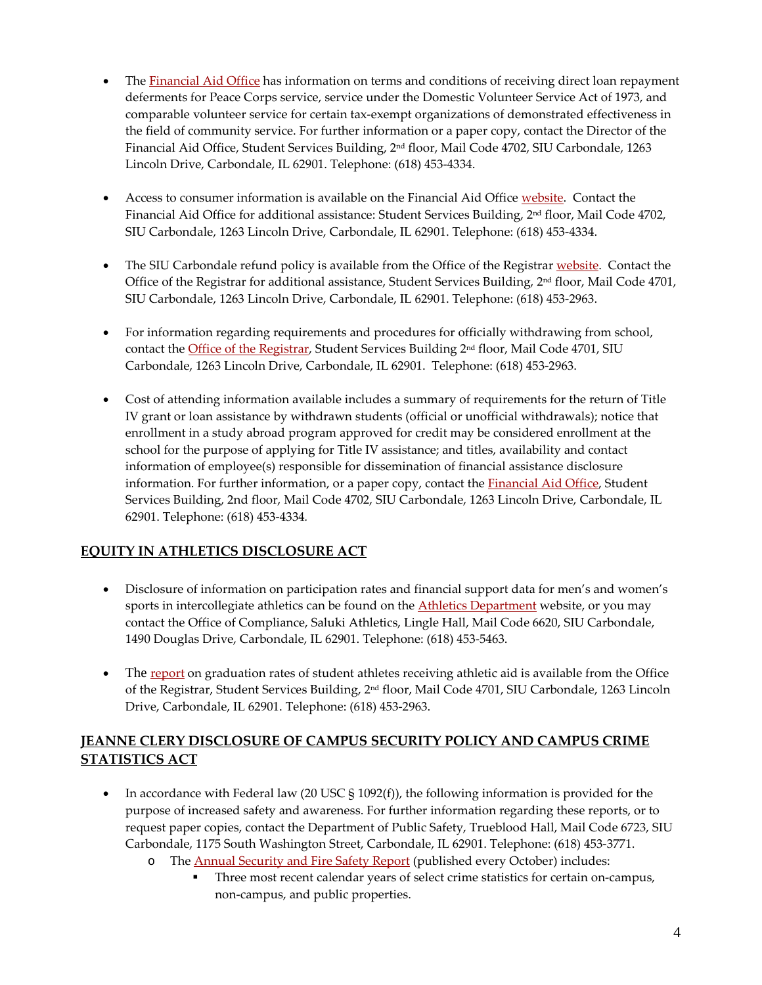- The [Financial Aid Office](http://www.fao.siu.edu/) has information on terms and conditions of receiving direct loan repayment deferments for Peace Corps service, service under the Domestic Volunteer Service Act of 1973, and comparable volunteer service for certain tax-exempt organizations of demonstrated effectiveness in the field of community service. For further information or a paper copy, contact the Director of the Financial Aid Office, Student Services Building, 2nd floor, Mail Code 4702, SIU Carbondale, 1263 Lincoln Drive, Carbondale, IL 62901. Telephone: (618) 453-4334.
- Access to consumer information is available on the Financial Aid Office [website.](http://fao.siu.edu/consumer-info/) Contact the Financial Aid Office for additional assistance: Student Services Building, 2nd floor, Mail Code 4702, SIU Carbondale, 1263 Lincoln Drive, Carbondale, IL 62901. Telephone: (618) 453-4334.
- The SIU Carbondale refund policy is available from the [Office of the Registrar](http://registrar.siu.edu/) [website.](http://tuition.siuc.edu/payrefwaiv.html) Contact the Office of the Registrar for additional assistance, Student Services Building, 2nd floor, Mail Code 4701, SIU Carbondale, 1263 Lincoln Drive, Carbondale, IL 62901. Telephone: (618) 453-2963.
- For information regarding requirements and procedures for officially withdrawing from school, contact the [Office of the Registrar,](http://registrar.siu.edu/) Student Services Building 2<sup>nd</sup> floor, Mail Code 4701, SIU Carbondale, 1263 Lincoln Drive, Carbondale, IL 62901. Telephone: (618) 453-2963.
- Cost of attending information available includes a summary of requirements for the return of Title IV grant or loan assistance by withdrawn students (official or unofficial withdrawals); notice that enrollment in a study abroad program approved for credit may be considered enrollment at the school for the purpose of applying for Title IV assistance; and titles, availability and contact information of employee(s) responsible for dissemination of financial assistance disclosure information. For further information, or a paper copy, contact the **Financial Aid Office**, Student Services Building, 2nd floor, Mail Code 4702, SIU Carbondale, 1263 Lincoln Drive, Carbondale, IL 62901. Telephone: (618) 453-4334*.*

# **EQUITY IN ATHLETICS DISCLOSURE ACT**

- Disclosure of information on participation rates and financial support data for men's and women's sports in intercollegiate athletics can be found on the **Athletics Department** website, or you may contact the Office of Compliance, Saluki Athletics, Lingle Hall, Mail Code 6620, SIU Carbondale, 1490 Douglas Drive, Carbondale, IL 62901. Telephone: (618) 453-5463.
- The [report](http://registrar.siu.edu/office/consumer.php) on graduation rates of student athletes receiving athletic aid is available from the Office of the Registrar, Student Services Building, 2nd floor, Mail Code 4701, SIU Carbondale, 1263 Lincoln Drive, Carbondale, IL 62901. Telephone: (618) 453-2963.

## **JEANNE CLERY DISCLOSURE OF CAMPUS SECURITY POLICY AND CAMPUS CRIME STATISTICS ACT**

- In accordance with Federal law (20 USC  $\S$  1092(f)), the following information is provided for the purpose of increased safety and awareness. For further information regarding these reports, or to request paper copies, contact the Department of Public Safety, Trueblood Hall, Mail Code 6723, SIU Carbondale, 1175 South Washington Street, Carbondale, IL 62901. Telephone: (618) 453-3771.
	- The [Annual Security and Fire Safety Report](https://safe.siu.edu/) (published every October) includes:
		- Three most recent calendar years of select crime statistics for certain on-campus, non-campus, and public properties.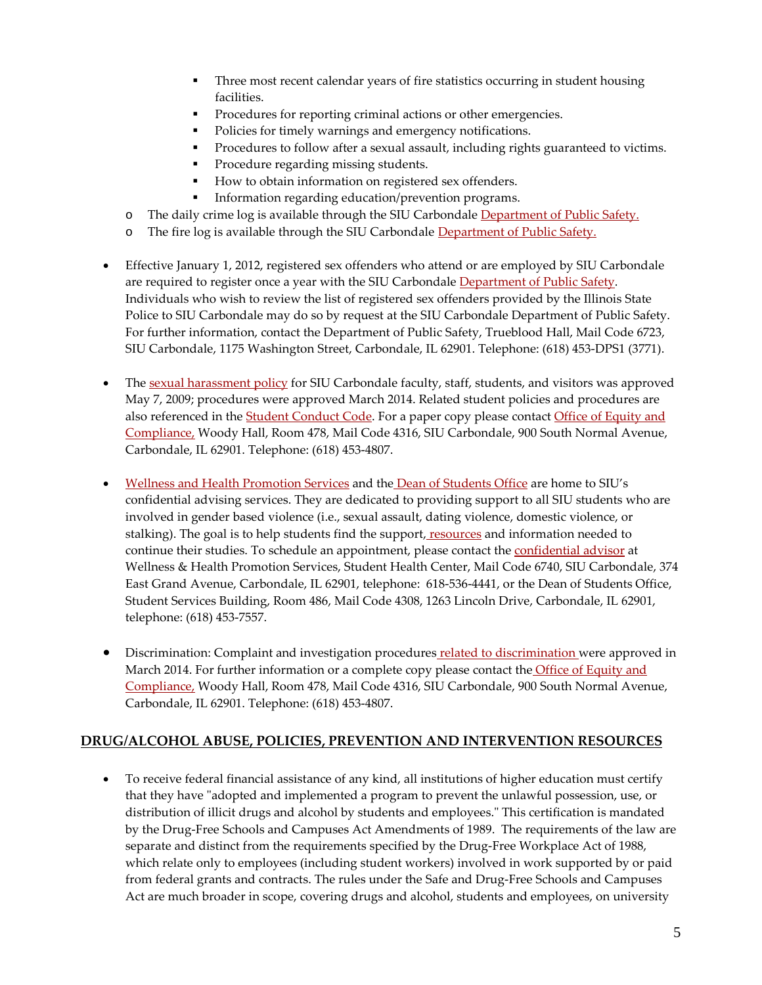- **Three most recent calendar years of fire statistics occurring in student housing** facilities.
- **Procedures for reporting criminal actions or other emergencies.**
- Policies for timely warnings and emergency notifications.
- **Procedures to follow after a sexual assault, including rights guaranteed to victims.**
- Procedure regarding missing students.
- How to obtain information on registered sex offenders.
- **Information regarding education/prevention programs.**
- o The daily crime log is available through the SIU Carbondale [Department of Public Safety.](https://police.siu.edu/)
- o The fire log is available through the SIU Carbondale [Department of Public Safety.](https://safe.siu.edu/)
- Effective January 1, 2012, registered sex offenders who attend or are employed by SIU Carbondale are required to register once a year with the SIU Carbondale [Department of Public Safety.](http://police.siu.edu/) Individuals who wish to review the list of registered sex offenders provided by the Illinois State Police to SIU Carbondale may do so by request at the SIU Carbondale Department of Public Safety. For further information, contact the Department of Public Safety, Trueblood Hall, Mail Code 6723, SIU Carbondale, 1175 Washington Street, Carbondale, IL 62901. Telephone: (618) 453-DPS1 (3771).
- The [sexual harassment policy](http://policies.siu.edu/personnel-policies/chapter4/ch4-all/sexual.php) for SIU Carbondale faculty, staff, students, and visitors was approved May 7, 2009; procedures were approved March 2014. Related student policies and procedures are also referenced in the **Student Conduct Code**. For a paper copy please contact Office of Equity and [Compliance,](http://equity.siu.edu/) Woody Hall, Room 478, Mail Code 4316, SIU Carbondale, 900 South Normal Avenue, Carbondale, IL 62901. Telephone: (618) 453-4807.
- [Wellness and Health Promotion Services](https://wellness.siu.edu/) and the [Dean of Students Office](https://dos.siu.edu/) are home to SIU's confidential advising services. They are dedicated to providing support to all SIU students who are involved in gender based violence (i.e., sexual assault, dating violence, domestic violence, or stalking). The goal is to help students find the support, [resources](https://wellness.siu.edu/topics/survivor_support/) and information needed to continue their studies. To schedule an appointment, please contact the [confidential advisor](http://shc.siu.edu/confidential-advisor/) at Wellness & Health Promotion Services, Student Health Center, Mail Code 6740, SIU Carbondale, 374 East Grand Avenue, Carbondale, IL 62901, telephone: 618-536-4441, or the Dean of Students Office, Student Services Building, Room 486, Mail Code 4308, 1263 Lincoln Drive, Carbondale, IL 62901, telephone: (618) 453-7557.
- Discrimination: Complaint and investigation procedures [related to discrimination](https://equity.siu.edu/gender-based-violence.php) were approved in March 2014. For further information or a complete copy please contact the Office of Equity and [Compliance,](https://equity.siu.edu/) Woody Hall, Room 478, Mail Code 4316, SIU Carbondale, 900 South Normal Avenue, Carbondale, IL 62901. Telephone: (618) 453-4807.

### **DRUG/ALCOHOL ABUSE, POLICIES, PREVENTION AND INTERVENTION RESOURCES**

• To receive federal financial assistance of any kind, all institutions of higher education must certify that they have "adopted and implemented a program to prevent the unlawful possession, use, or distribution of illicit drugs and alcohol by students and employees." This certification is mandated by the Drug-Free Schools and Campuses Act Amendments of 1989. The requirements of the law are separate and distinct from the requirements specified by the Drug-Free Workplace Act of 1988, which relate only to employees (including student workers) involved in work supported by or paid from federal grants and contracts. The rules under the Safe and Drug-Free Schools and Campuses Act are much broader in scope, covering drugs and alcohol, students and employees, on university